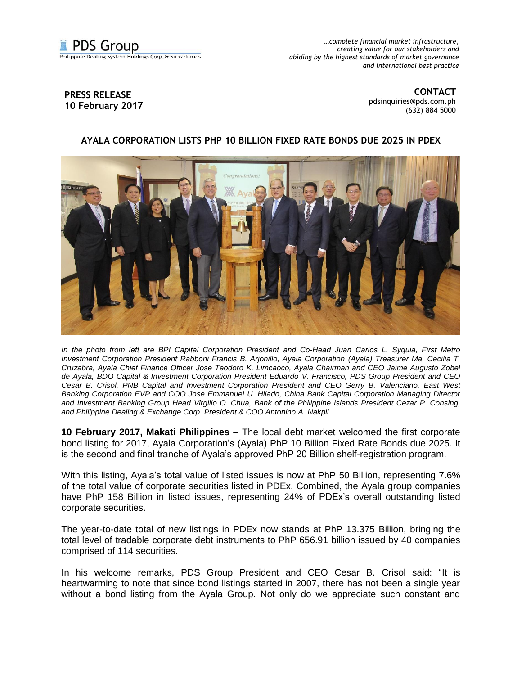

*…complete financial market infrastructure, creating value for our stakeholders and abiding by the highest standards of market governance and international best practice*

## **PRESS RELEASE 10 February 2017**

**CONTACT** [pdsinquiries@pds.com.ph](mailto:pdsinquiries@pds.com.ph) (632) 884 5000

## **AYALA CORPORATION LISTS PHP 10 BILLION FIXED RATE BONDS DUE 2025 IN PDEX**



*In the photo from left are BPI Capital Corporation President and Co-Head Juan Carlos L. Syquia, First Metro Investment Corporation President Rabboni Francis B. Arjonillo, Ayala Corporation (Ayala) Treasurer Ma. Cecilia T. Cruzabra, Ayala Chief Finance Officer Jose Teodoro K. Limcaoco, Ayala Chairman and CEO Jaime Augusto Zobel de Ayala, BDO Capital & Investment Corporation President Eduardo V. Francisco, PDS Group President and CEO Cesar B. Crisol, PNB Capital and Investment Corporation President and CEO Gerry B. Valenciano, East West Banking Corporation EVP and COO Jose Emmanuel U. Hilado, China Bank Capital Corporation Managing Director and Investment Banking Group Head Virgilio O. Chua, Bank of the Philippine Islands President Cezar P. Consing, and Philippine Dealing & Exchange Corp. President & COO Antonino A. Nakpil.* 

**10 February 2017, Makati Philippines** – The local debt market welcomed the first corporate bond listing for 2017, Ayala Corporation's (Ayala) PhP 10 Billion Fixed Rate Bonds due 2025. It is the second and final tranche of Ayala's approved PhP 20 Billion shelf-registration program.

With this listing, Ayala's total value of listed issues is now at PhP 50 Billion, representing 7.6% of the total value of corporate securities listed in PDEx. Combined, the Ayala group companies have PhP 158 Billion in listed issues, representing 24% of PDEx's overall outstanding listed corporate securities.

The year-to-date total of new listings in PDEx now stands at PhP 13.375 Billion, bringing the total level of tradable corporate debt instruments to PhP 656.91 billion issued by 40 companies comprised of 114 securities.

In his welcome remarks, PDS Group President and CEO Cesar B. Crisol said: "It is heartwarming to note that since bond listings started in 2007, there has not been a single year without a bond listing from the Ayala Group. Not only do we appreciate such constant and